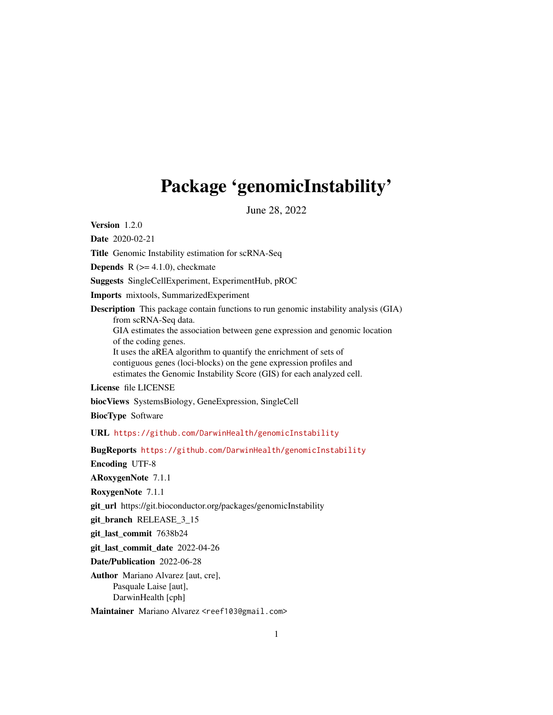## Package 'genomicInstability'

June 28, 2022

Version 1.2.0

Date 2020-02-21

Title Genomic Instability estimation for scRNA-Seq

**Depends** R  $(>= 4.1.0)$ , checkmate

Suggests SingleCellExperiment, ExperimentHub, pROC

Imports mixtools, SummarizedExperiment

Description This package contain functions to run genomic instability analysis (GIA) from scRNA-Seq data. GIA estimates the association between gene expression and genomic location of the coding genes. It uses the aREA algorithm to quantify the enrichment of sets of contiguous genes (loci-blocks) on the gene expression profiles and estimates the Genomic Instability Score (GIS) for each analyzed cell.

License file LICENSE

biocViews SystemsBiology, GeneExpression, SingleCell

BiocType Software

URL <https://github.com/DarwinHealth/genomicInstability>

BugReports <https://github.com/DarwinHealth/genomicInstability>

Encoding UTF-8

ARoxygenNote 7.1.1

RoxygenNote 7.1.1

git\_url https://git.bioconductor.org/packages/genomicInstability

git\_branch RELEASE\_3\_15

git\_last\_commit 7638b24

git last commit date 2022-04-26

Date/Publication 2022-06-28

Author Mariano Alvarez [aut, cre], Pasquale Laise [aut], DarwinHealth [cph]

Maintainer Mariano Alvarez <reef103@gmail.com>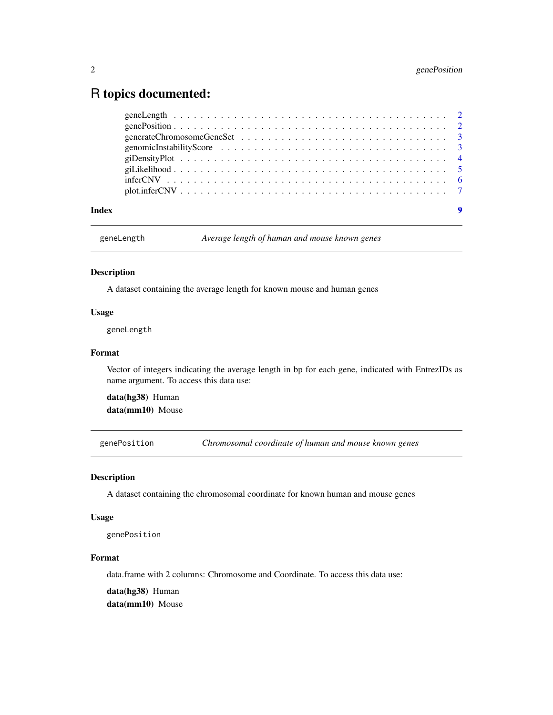### <span id="page-1-0"></span>R topics documented:

| Index | $\boldsymbol{9}$ |
|-------|------------------|

geneLength *Average length of human and mouse known genes*

#### Description

A dataset containing the average length for known mouse and human genes

#### Usage

geneLength

#### Format

Vector of integers indicating the average length in bp for each gene, indicated with EntrezIDs as name argument. To access this data use:

data(hg38) Human data(mm10) Mouse

genePosition *Chromosomal coordinate of human and mouse known genes*

#### Description

A dataset containing the chromosomal coordinate for known human and mouse genes

#### Usage

genePosition

#### Format

data.frame with 2 columns: Chromosome and Coordinate. To access this data use:

data(hg38) Human

data(mm10) Mouse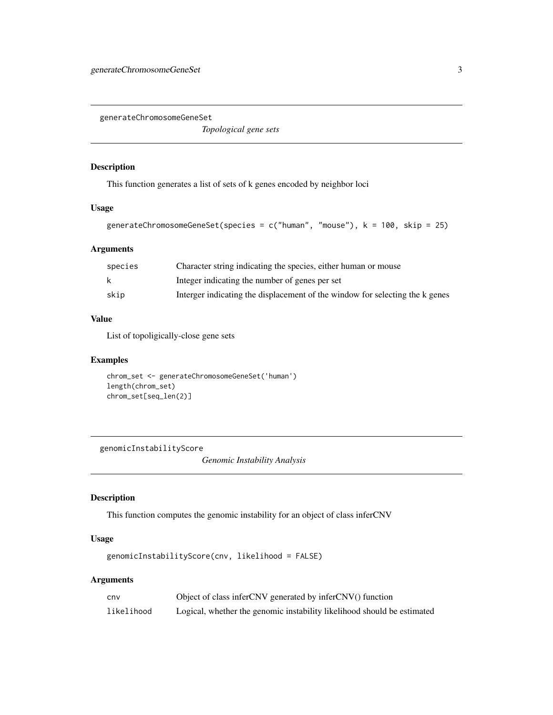<span id="page-2-0"></span>generateChromosomeGeneSet

*Topological gene sets*

#### Description

This function generates a list of sets of k genes encoded by neighbor loci

#### Usage

```
generateChromosomeGeneSet(species = c("human", "mouse"), k = 100, skip = 25)
```
#### Arguments

| species | Character string indicating the species, either human or mouse               |
|---------|------------------------------------------------------------------------------|
| k       | Integer indicating the number of genes per set                               |
| skip    | Interger indicating the displacement of the window for selecting the k genes |

#### Value

List of topoligically-close gene sets

#### Examples

```
chrom_set <- generateChromosomeGeneSet('human')
length(chrom_set)
chrom_set[seq_len(2)]
```
genomicInstabilityScore

*Genomic Instability Analysis*

#### Description

This function computes the genomic instability for an object of class inferCNV

#### Usage

```
genomicInstabilityScore(cnv, likelihood = FALSE)
```
#### Arguments

| cnv        | Object of class inferCNV generated by inferCNV() function               |
|------------|-------------------------------------------------------------------------|
| likelihood | Logical, whether the genomic instability likelihood should be estimated |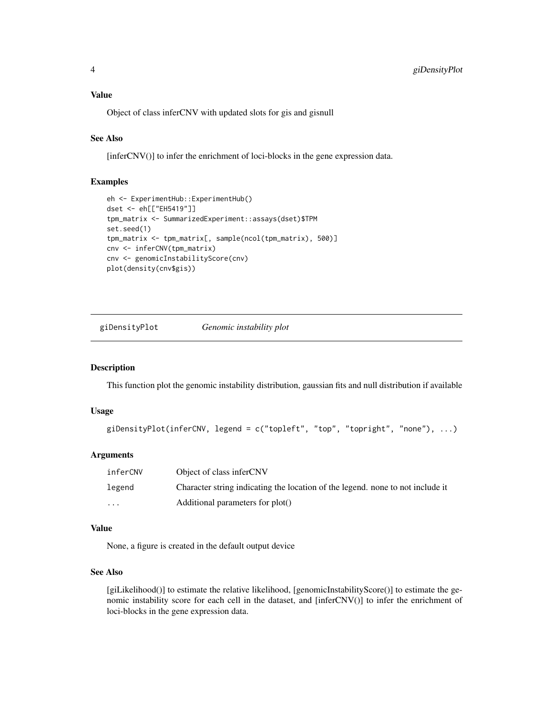<span id="page-3-0"></span>Object of class inferCNV with updated slots for gis and gisnull

#### See Also

[inferCNV()] to infer the enrichment of loci-blocks in the gene expression data.

#### Examples

```
eh <- ExperimentHub::ExperimentHub()
dset <- eh[["EH5419"]]
tpm_matrix <- SummarizedExperiment::assays(dset)$TPM
set.seed(1)
tpm_matrix <- tpm_matrix[, sample(ncol(tpm_matrix), 500)]
cnv <- inferCNV(tpm_matrix)
cnv <- genomicInstabilityScore(cnv)
plot(density(cnv$gis))
```
giDensityPlot *Genomic instability plot*

#### Description

This function plot the genomic instability distribution, gaussian fits and null distribution if available

#### Usage

```
giDensityPlot(inferCNV, legend = c("topleft", "top", "topright", "none"), ...)
```
#### Arguments

| inferCNV | Object of class inferCNV                                                       |
|----------|--------------------------------------------------------------------------------|
| legend   | Character string indicating the location of the legend, none to not include it |
| $\cdots$ | Additional parameters for plot()                                               |

#### Value

None, a figure is created in the default output device

#### See Also

[giLikelihood()] to estimate the relative likelihood, [genomicInstabilityScore()] to estimate the genomic instability score for each cell in the dataset, and [inferCNV()] to infer the enrichment of loci-blocks in the gene expression data.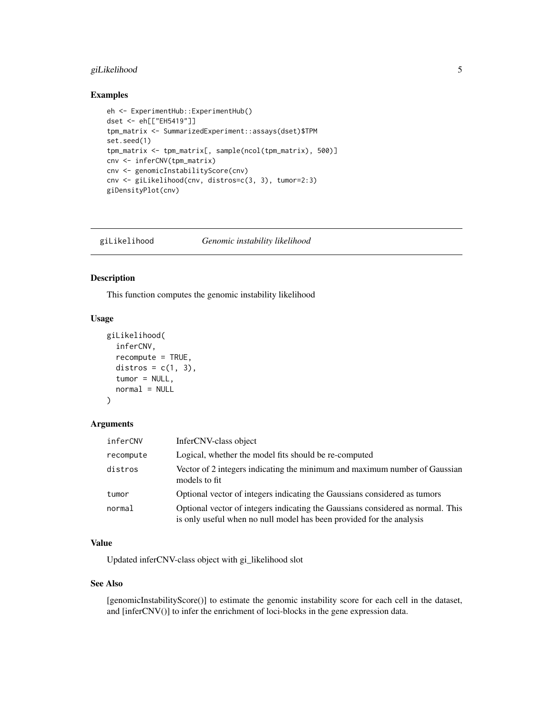#### <span id="page-4-0"></span>giLikelihood 5

#### Examples

```
eh <- ExperimentHub::ExperimentHub()
dset <- eh[["EH5419"]]
tpm_matrix <- SummarizedExperiment::assays(dset)$TPM
set.seed(1)
tpm_matrix <- tpm_matrix[, sample(ncol(tpm_matrix), 500)]
cnv <- inferCNV(tpm_matrix)
cnv <- genomicInstabilityScore(cnv)
cnv <- giLikelihood(cnv, distros=c(3, 3), tumor=2:3)
giDensityPlot(cnv)
```

| giLikelihood | Genomic instability likelihood |
|--------------|--------------------------------|
|--------------|--------------------------------|

#### Description

This function computes the genomic instability likelihood

#### Usage

```
giLikelihood(
  inferCNV,
  recompute = TRUE,
 distros = c(1, 3),
  tumor = NULL,
 normal = NULL
)
```
#### Arguments

| inferCNV  | InferCNV-class object                                                                                                                                   |
|-----------|---------------------------------------------------------------------------------------------------------------------------------------------------------|
| recompute | Logical, whether the model fits should be re-computed                                                                                                   |
| distros   | Vector of 2 integers indicating the minimum and maximum number of Gaussian<br>models to fit                                                             |
| tumor     | Optional vector of integers indicating the Gaussians considered as tumors                                                                               |
| normal    | Optional vector of integers indicating the Gaussians considered as normal. This<br>is only useful when no null model has been provided for the analysis |

#### Value

Updated inferCNV-class object with gi\_likelihood slot

#### See Also

[genomicInstabilityScore()] to estimate the genomic instability score for each cell in the dataset, and [inferCNV()] to infer the enrichment of loci-blocks in the gene expression data.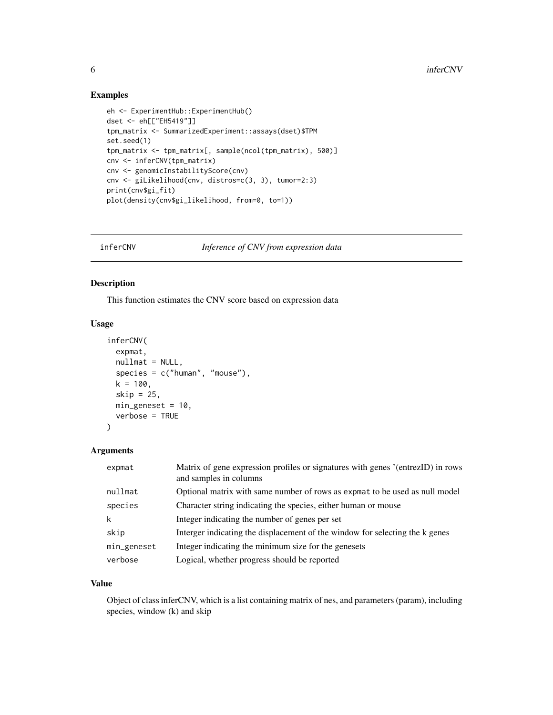#### Examples

```
eh <- ExperimentHub::ExperimentHub()
dset <- eh[["EH5419"]]
tpm_matrix <- SummarizedExperiment::assays(dset)$TPM
set.seed(1)
tpm_matrix <- tpm_matrix[, sample(ncol(tpm_matrix), 500)]
cnv <- inferCNV(tpm_matrix)
cnv <- genomicInstabilityScore(cnv)
cnv <- giLikelihood(cnv, distros=c(3, 3), tumor=2:3)
print(cnv$gi_fit)
plot(density(cnv$gi_likelihood, from=0, to=1))
```
inferCNV *Inference of CNV from expression data*

#### Description

This function estimates the CNV score based on expression data

#### Usage

```
inferCNV(
 expmat,
 nullmat = NULL,
 species = c("human", "mouse"),k = 100,
  skip = 25,min\_geneset = 10,
 verbose = TRUE
)
```
#### Arguments

| expmat      | Matrix of gene expression profiles or signatures with genes '(entrezID) in rows<br>and samples in columns |
|-------------|-----------------------------------------------------------------------------------------------------------|
| nullmat     | Optional matrix with same number of rows as expmat to be used as null model                               |
| species     | Character string indicating the species, either human or mouse                                            |
| k           | Integer indicating the number of genes per set                                                            |
| skip        | Interger indicating the displacement of the window for selecting the k genes                              |
| min_geneset | Integer indicating the minimum size for the genesets                                                      |
| verbose     | Logical, whether progress should be reported                                                              |

#### Value

Object of class inferCNV, which is a list containing matrix of nes, and parameters (param), including species, window (k) and skip

<span id="page-5-0"></span>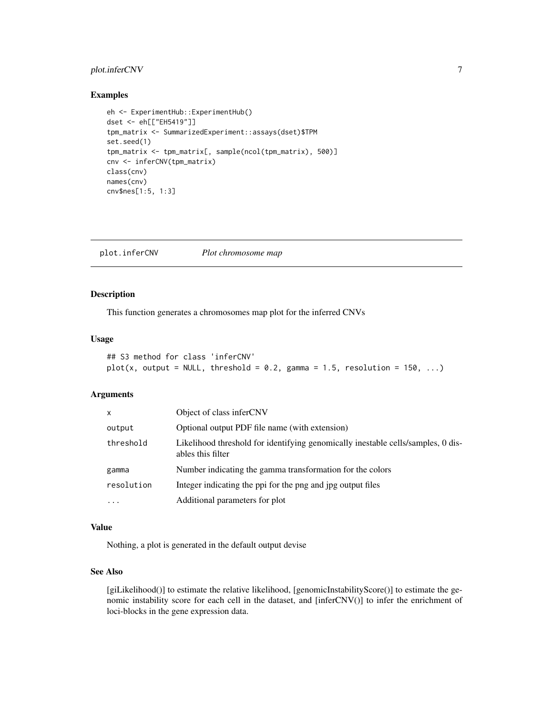#### <span id="page-6-0"></span>plot.inferCNV 7

#### Examples

```
eh <- ExperimentHub::ExperimentHub()
dset <- eh[["EH5419"]]
tpm_matrix <- SummarizedExperiment::assays(dset)$TPM
set.seed(1)
tpm_matrix <- tpm_matrix[, sample(ncol(tpm_matrix), 500)]
cnv <- inferCNV(tpm_matrix)
class(cnv)
names(cnv)
cnv$nes[1:5, 1:3]
```
plot.inferCNV *Plot chromosome map*

#### Description

This function generates a chromosomes map plot for the inferred CNVs

#### Usage

```
## S3 method for class 'inferCNV'
plot(x, output = NULL, threshold = 0.2, gamma = 1.5, resolution = 150, ...)
```
#### Arguments

| x          | Object of class inferCNV                                                                              |
|------------|-------------------------------------------------------------------------------------------------------|
| output     | Optional output PDF file name (with extension)                                                        |
| threshold  | Likelihood threshold for identifying genomically inestable cells/samples, 0 dis-<br>ables this filter |
| gamma      | Number indicating the gamma transformation for the colors                                             |
| resolution | Integer indicating the ppi for the png and jpg output files                                           |
| $\ddotsc$  | Additional parameters for plot                                                                        |

#### Value

Nothing, a plot is generated in the default output devise

#### See Also

[giLikelihood()] to estimate the relative likelihood, [genomicInstabilityScore()] to estimate the genomic instability score for each cell in the dataset, and [inferCNV()] to infer the enrichment of loci-blocks in the gene expression data.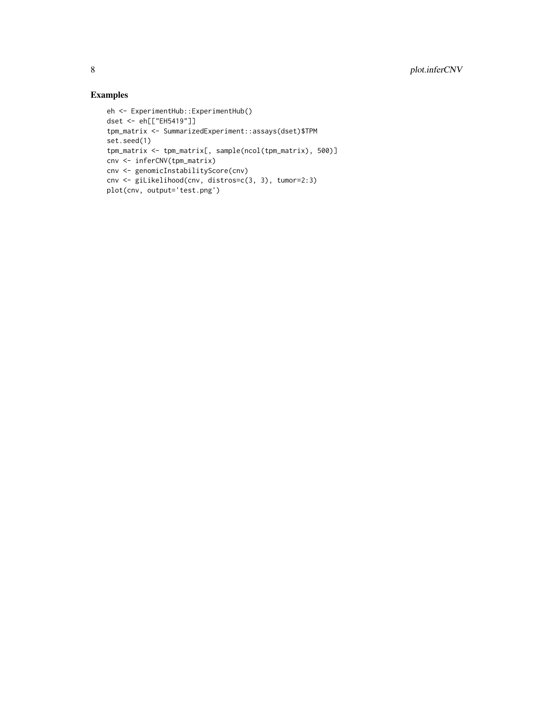#### Examples

```
eh <- ExperimentHub::ExperimentHub()
dset <- eh[["EH5419"]]
tpm_matrix <- SummarizedExperiment::assays(dset)$TPM
set.seed(1)
tpm_matrix <- tpm_matrix[, sample(ncol(tpm_matrix), 500)]
cnv <- inferCNV(tpm_matrix)
cnv <- genomicInstabilityScore(cnv)
cnv <- giLikelihood(cnv, distros=c(3, 3), tumor=2:3)
plot(cnv, output='test.png')
```